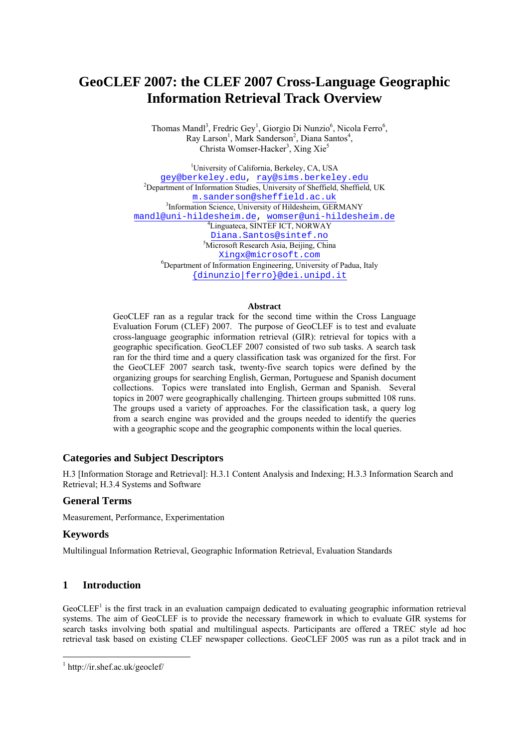# **GeoCLEF 2007: the CLEF 2007 Cross-Language Geographic Information Retrieval Track Overview**

Thomas Mandl<sup>3</sup>, Fredric Gey<sup>1</sup>, Giorgio Di Nunzio<sup>6</sup>, Nicola Ferro<sup>6</sup>, Ray Larson<sup>1</sup>, Mark Sanderson<sup>2</sup>, Diana Santos<sup>4</sup>, Christa Womser-Hacker<sup>3</sup>, Xing Xie<sup>5</sup>

<sup>1</sup>University of California, Berkeley, CA, USA gey@berkeley.edu, ray@sims.berkeley.edu <sup>2</sup> <sup>2</sup>Department of Information Studies, University of Sheffield, Sheffield, UK m.sanderson@sheffield.ac.uk <sup>3</sup> <sup>3</sup>Information Science, University of Hildesheim, GERMANY mandl@uni-hildesheim.de, womser@uni-hildesheim.de <sup>4</sup> <sup>4</sup>Linguateca, SINTEF ICT, NORWAY Diana.Santos@sintef.no <sup>5</sup> <sup>5</sup>Microsoft Research Asia, Beijing, China Xingx@microsoft.com <sup>6</sup> <sup>6</sup>Department of Information Engineering, University of Padua, Italy {dinunzio|ferro}@dei.unipd.it

#### **Abstract**

GeoCLEF ran as a regular track for the second time within the Cross Language Evaluation Forum (CLEF) 2007. The purpose of GeoCLEF is to test and evaluate cross-language geographic information retrieval (GIR): retrieval for topics with a geographic specification. GeoCLEF 2007 consisted of two sub tasks. A search task ran for the third time and a query classification task was organized for the first. For the GeoCLEF 2007 search task, twenty-five search topics were defined by the organizing groups for searching English, German, Portuguese and Spanish document collections. Topics were translated into English, German and Spanish. Several topics in 2007 were geographically challenging. Thirteen groups submitted 108 runs. The groups used a variety of approaches. For the classification task, a query log from a search engine was provided and the groups needed to identify the queries with a geographic scope and the geographic components within the local queries.

# **Categories and Subject Descriptors**

H.3 [Information Storage and Retrieval]: H.3.1 Content Analysis and Indexing; H.3.3 Information Search and Retrieval; H.3.4 Systems and Software

## **General Terms**

Measurement, Performance, Experimentation

# **Keywords**

 $\overline{a}$ 

Multilingual Information Retrieval, Geographic Information Retrieval, Evaluation Standards

# **1 Introduction**

GeoCLEF<sup>1</sup> is the first track in an evaluation campaign dedicated to evaluating geographic information retrieval systems. The aim of GeoCLEF is to provide the necessary framework in which to evaluate GIR systems for search tasks involving both spatial and multilingual aspects. Participants are offered a TREC style ad hoc retrieval task based on existing CLEF newspaper collections. GeoCLEF 2005 was run as a pilot track and in

<sup>1</sup> http://ir.shef.ac.uk/geoclef/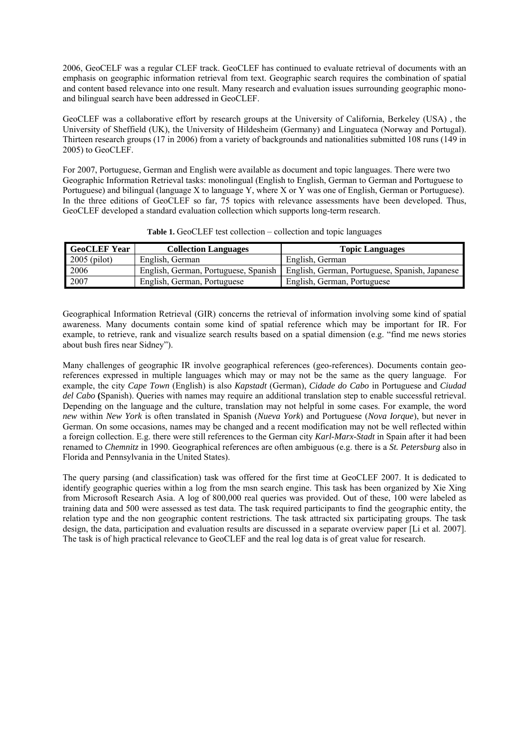2006, GeoCELF was a regular CLEF track. GeoCLEF has continued to evaluate retrieval of documents with an emphasis on geographic information retrieval from text. Geographic search requires the combination of spatial and content based relevance into one result. Many research and evaluation issues surrounding geographic monoand bilingual search have been addressed in GeoCLEF.

GeoCLEF was a collaborative effort by research groups at the University of California, Berkeley (USA) , the University of Sheffield (UK), the University of Hildesheim (Germany) and Linguateca (Norway and Portugal). Thirteen research groups (17 in 2006) from a variety of backgrounds and nationalities submitted 108 runs (149 in 2005) to GeoCLEF.

For 2007, Portuguese, German and English were available as document and topic languages. There were two Geographic Information Retrieval tasks: monolingual (English to English, German to German and Portuguese to Portuguese) and bilingual (language X to language Y, where X or Y was one of English, German or Portuguese). In the three editions of GeoCLEF so far, 75 topics with relevance assessments have been developed. Thus, GeoCLEF developed a standard evaluation collection which supports long-term research.

| <b>GeoCLEF Year</b> | <b>Collection Languages</b>          | <b>Topic Languages</b>                         |
|---------------------|--------------------------------------|------------------------------------------------|
| $2005$ (pilot)      | English, German                      | English, German                                |
| 2006                | English, German, Portuguese, Spanish | English, German, Portuguese, Spanish, Japanese |
| 2007                | English, German, Portuguese          | English, German, Portuguese                    |

**Table 1.** GeoCLEF test collection – collection and topic languages

Geographical Information Retrieval (GIR) concerns the retrieval of information involving some kind of spatial awareness. Many documents contain some kind of spatial reference which may be important for IR. For example, to retrieve, rank and visualize search results based on a spatial dimension (e.g. "find me news stories about bush fires near Sidney").

Many challenges of geographic IR involve geographical references (geo-references). Documents contain georeferences expressed in multiple languages which may or may not be the same as the query language. For example, the city *Cape Town* (English) is also *Kapstadt* (German), *Cidade do Cabo* in Portuguese and *Ciudad del Cabo* **(**Spanish). Queries with names may require an additional translation step to enable successful retrieval. Depending on the language and the culture, translation may not helpful in some cases. For example, the word *new* within *New York* is often translated in Spanish (*Nueva York*) and Portuguese (*Nova Iorque*), but never in German. On some occasions, names may be changed and a recent modification may not be well reflected within a foreign collection. E.g. there were still references to the German city *Karl-Marx-Stadt* in Spain after it had been renamed to *Chemnitz* in 1990. Geographical references are often ambiguous (e.g. there is a *St. Petersburg* also in Florida and Pennsylvania in the United States).

The query parsing (and classification) task was offered for the first time at GeoCLEF 2007. It is dedicated to identify geographic queries within a log from the msn search engine. This task has been organized by Xie Xing from Microsoft Research Asia. A log of 800,000 real queries was provided. Out of these, 100 were labeled as training data and 500 were assessed as test data. The task required participants to find the geographic entity, the relation type and the non geographic content restrictions. The task attracted six participating groups. The task design, the data, participation and evaluation results are discussed in a separate overview paper [Li et al. 2007]. The task is of high practical relevance to GeoCLEF and the real log data is of great value for research.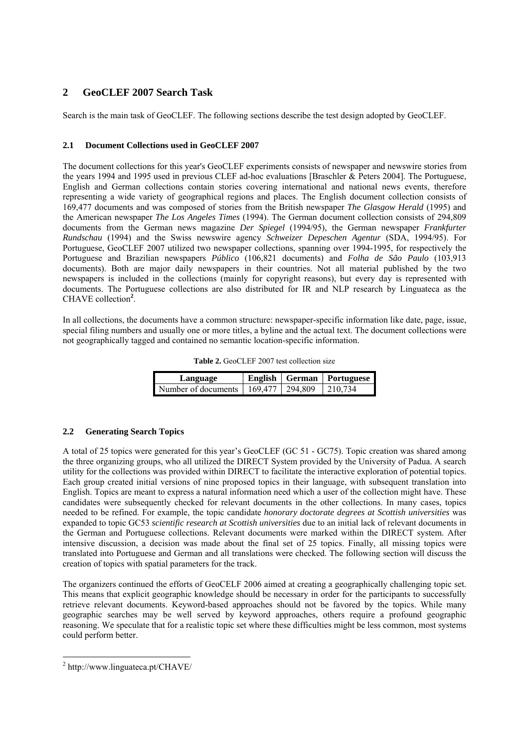# **2 GeoCLEF 2007 Search Task**

Search is the main task of GeoCLEF. The following sections describe the test design adopted by GeoCLEF.

### **2.1 Document Collections used in GeoCLEF 2007**

The document collections for this year's GeoCLEF experiments consists of newspaper and newswire stories from the years 1994 and 1995 used in previous CLEF ad-hoc evaluations [Braschler & Peters 2004]. The Portuguese, English and German collections contain stories covering international and national news events, therefore representing a wide variety of geographical regions and places. The English document collection consists of 169,477 documents and was composed of stories from the British newspaper *The Glasgow Herald* (1995) and the American newspaper *The Los Angeles Times* (1994). The German document collection consists of 294,809 documents from the German news magazine *Der Spiegel* (1994/95), the German newspaper *Frankfurter Rundschau* (1994) and the Swiss newswire agency *Schweizer Depeschen Agentur* (SDA, 1994/95). For Portuguese, GeoCLEF 2007 utilized two newspaper collections, spanning over 1994-1995, for respectively the Portuguese and Brazilian newspapers *Público* (106,821 documents) and *Folha de São Paulo* (103,913 documents). Both are major daily newspapers in their countries. Not all material published by the two newspapers is included in the collections (mainly for copyright reasons), but every day is represented with documents. The Portuguese collections are also distributed for IR and NLP research by Linguateca as the CHAVE collection<sup>2</sup>.

In all collections, the documents have a common structure: newspaper-specific information like date, page, issue, special filing numbers and usually one or more titles, a byline and the actual text. The document collections were not geographically tagged and contained no semantic location-specific information.

|  |  | <b>Table 2.</b> GeoCLEF 2007 test collection size |  |
|--|--|---------------------------------------------------|--|
|  |  |                                                   |  |

| Language            | English |                   | German   Portuguese |
|---------------------|---------|-------------------|---------------------|
| Number of documents |         | 169.477   294.809 | 210.734             |

#### **2.2 Generating Search Topics**

A total of 25 topics were generated for this year's GeoCLEF (GC 51 - GC75). Topic creation was shared among the three organizing groups, who all utilized the DIRECT System provided by the University of Padua. A search utility for the collections was provided within DIRECT to facilitate the interactive exploration of potential topics. Each group created initial versions of nine proposed topics in their language, with subsequent translation into English. Topics are meant to express a natural information need which a user of the collection might have. These candidates were subsequently checked for relevant documents in the other collections. In many cases, topics needed to be refined. For example, the topic candidate *honorary doctorate degrees at Scottish universities* was expanded to topic GC53 *scientific research at Scottish universities* due to an initial lack of relevant documents in the German and Portuguese collections. Relevant documents were marked within the DIRECT system. After intensive discussion, a decision was made about the final set of 25 topics. Finally, all missing topics were translated into Portuguese and German and all translations were checked. The following section will discuss the creation of topics with spatial parameters for the track.

The organizers continued the efforts of GeoCELF 2006 aimed at creating a geographically challenging topic set. This means that explicit geographic knowledge should be necessary in order for the participants to successfully retrieve relevant documents. Keyword-based approaches should not be favored by the topics. While many geographic searches may be well served by keyword approaches, others require a profound geographic reasoning. We speculate that for a realistic topic set where these difficulties might be less common, most systems could perform better.

 $\overline{a}$ 

<sup>&</sup>lt;sup>2</sup> http://www.linguateca.pt/CHAVE/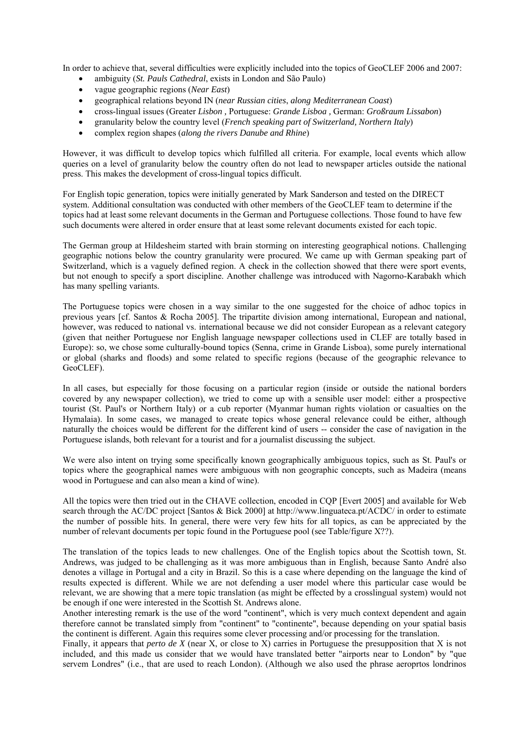In order to achieve that, several difficulties were explicitly included into the topics of GeoCLEF 2006 and 2007:

- ambiguity (*St. Pauls Cathedral*, exists in London and São Paulo)
- vague geographic regions (*Near East*)
- geographical relations beyond IN (*near Russian cities*, *along Mediterranean Coast*)
- cross-lingual issues (Greater *Lisbon ,* Portuguese: *Grande Lisboa ,* German: *Großraum Lissabon*)
- granularity below the country level (*French speaking part of Switzerland, Northern Italy*)
- complex region shapes (*along the rivers Danube and Rhine*)

However, it was difficult to develop topics which fulfilled all criteria. For example, local events which allow queries on a level of granularity below the country often do not lead to newspaper articles outside the national press. This makes the development of cross-lingual topics difficult.

For English topic generation, topics were initially generated by Mark Sanderson and tested on the DIRECT system. Additional consultation was conducted with other members of the GeoCLEF team to determine if the topics had at least some relevant documents in the German and Portuguese collections. Those found to have few such documents were altered in order ensure that at least some relevant documents existed for each topic.

The German group at Hildesheim started with brain storming on interesting geographical notions. Challenging geographic notions below the country granularity were procured. We came up with German speaking part of Switzerland, which is a vaguely defined region. A check in the collection showed that there were sport events, but not enough to specify a sport discipline. Another challenge was introduced with Nagorno-Karabakh which has many spelling variants.

The Portuguese topics were chosen in a way similar to the one suggested for the choice of adhoc topics in previous years [cf. Santos & Rocha 2005]. The tripartite division among international, European and national, however, was reduced to national vs. international because we did not consider European as a relevant category (given that neither Portuguese nor English language newspaper collections used in CLEF are totally based in Europe): so, we chose some culturally-bound topics (Senna, crime in Grande Lisboa), some purely international or global (sharks and floods) and some related to specific regions (because of the geographic relevance to GeoCLEF).

In all cases, but especially for those focusing on a particular region (inside or outside the national borders covered by any newspaper collection), we tried to come up with a sensible user model: either a prospective tourist (St. Paul's or Northern Italy) or a cub reporter (Myanmar human rights violation or casualties on the Hymalaia). In some cases, we managed to create topics whose general relevance could be either, although naturally the choices would be different for the different kind of users -- consider the case of navigation in the Portuguese islands, both relevant for a tourist and for a journalist discussing the subject.

We were also intent on trying some specifically known geographically ambiguous topics, such as St. Paul's or topics where the geographical names were ambiguous with non geographic concepts, such as Madeira (means wood in Portuguese and can also mean a kind of wine).

All the topics were then tried out in the CHAVE collection, encoded in CQP [Evert 2005] and available for Web search through the AC/DC project [Santos & Bick 2000] at http://www.linguateca.pt/ACDC/ in order to estimate the number of possible hits. In general, there were very few hits for all topics, as can be appreciated by the number of relevant documents per topic found in the Portuguese pool (see Table/figure X??).

The translation of the topics leads to new challenges. One of the English topics about the Scottish town, St. Andrews, was judged to be challenging as it was more ambiguous than in English, because Santo André also denotes a village in Portugal and a city in Brazil. So this is a case where depending on the language the kind of results expected is different. While we are not defending a user model where this particular case would be relevant, we are showing that a mere topic translation (as might be effected by a crosslingual system) would not be enough if one were interested in the Scottish St. Andrews alone.

Another interesting remark is the use of the word "continent", which is very much context dependent and again therefore cannot be translated simply from "continent" to "continente", because depending on your spatial basis the continent is different. Again this requires some clever processing and/or processing for the translation.

Finally, it appears that *perto de X* (near X, or close to X) carries in Portuguese the presupposition that X is not included, and this made us consider that we would have translated better "airports near to London" by "que servem Londres" (i.e., that are used to reach London). (Although we also used the phrase aeroprtos londrinos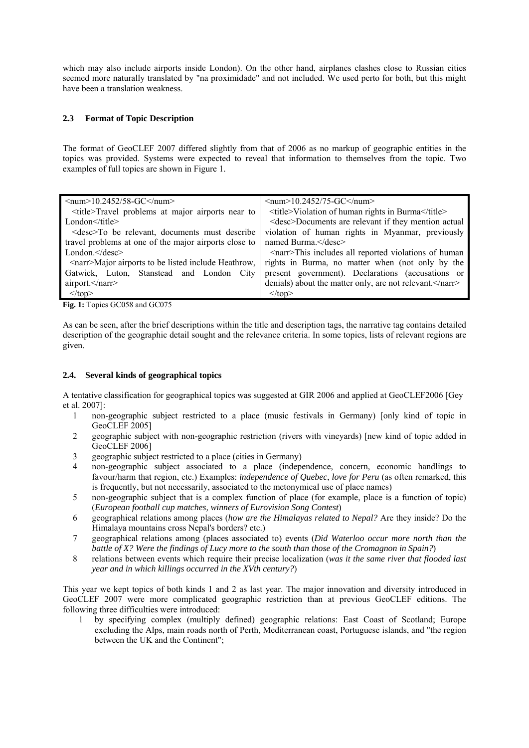which may also include airports inside London). On the other hand, airplanes clashes close to Russian cities seemed more naturally translated by "na proximidade" and not included. We used perto for both, but this might have been a translation weakness.

## **2.3 Format of Topic Description**

The format of GeoCLEF 2007 differed slightly from that of 2006 as no markup of geographic entities in the topics was provided. Systems were expected to reveal that information to themselves from the topic. Two examples of full topics are shown in Figure 1.

| $\le$ num>10.2452/58-GC $\le$ /num>                        | $\le$ num $>$ 10.2452/75-GC $\le$ /num $>$                  |
|------------------------------------------------------------|-------------------------------------------------------------|
| <title>Travel problems at major airports near to</title>   | <title>Violation of human rights in Burma</title>           |
| London                                                     | <desc>Documents are relevant if they mention actual</desc>  |
| $\leq$ desc $\geq$ To be relevant, documents must describe | violation of human rights in Myanmar, previously            |
| travel problems at one of the major airports close to      | named Burma.                                                |
| London. < /desc>                                           | <narr>This includes all reported violations of human</narr> |
| <narr>Major airports to be listed include Heathrow,</narr> | rights in Burma, no matter when (not only by the            |
| Gatwick, Luton, Stanstead and London City                  | present government). Declarations (accusations or           |
| airport.                                                   | denials) about the matter only, are not relevant.           |
| $\langle$ top>                                             | $\langle$ top>                                              |
| $\sim$ $\sim$ $\sim$ $\sim$                                |                                                             |

**Fig. 1:** Topics GC058 and GC075

As can be seen, after the brief descriptions within the title and description tags, the narrative tag contains detailed description of the geographic detail sought and the relevance criteria. In some topics, lists of relevant regions are given.

#### **2.4. Several kinds of geographical topics**

A tentative classification for geographical topics was suggested at GIR 2006 and applied at GeoCLEF2006 [Gey et al. 2007]:

- 1 non-geographic subject restricted to a place (music festivals in Germany) [only kind of topic in GeoCLEF 2005]
- 2 geographic subject with non-geographic restriction (rivers with vineyards) [new kind of topic added in GeoCLEF 2006]
- 3 geographic subject restricted to a place (cities in Germany)
- 4 non-geographic subject associated to a place (independence, concern, economic handlings to favour/harm that region, etc.) Examples: *independence of Quebec*, *love for Peru* (as often remarked, this is frequently, but not necessarily, associated to the metonymical use of place names)
- 5 non-geographic subject that is a complex function of place (for example, place is a function of topic) (*European football cup matches, winners of Eurovision Song Contest*)
- 6 geographical relations among places (*how are the Himalayas related to Nepal?* Are they inside? Do the Himalaya mountains cross Nepal's borders? etc.)
- 7 geographical relations among (places associated to) events (*Did Waterloo occur more north than the battle of X? Were the findings of Lucy more to the south than those of the Cromagnon in Spain?*)
- 8 relations between events which require their precise localization (*was it the same river that flooded last year and in which killings occurred in the XVth century?*)

This year we kept topics of both kinds 1 and 2 as last year. The major innovation and diversity introduced in GeoCLEF 2007 were more complicated geographic restriction than at previous GeoCLEF editions. The following three difficulties were introduced:

1 by specifying complex (multiply defined) geographic relations: East Coast of Scotland; Europe excluding the Alps, main roads north of Perth, Mediterranean coast, Portuguese islands, and "the region between the UK and the Continent";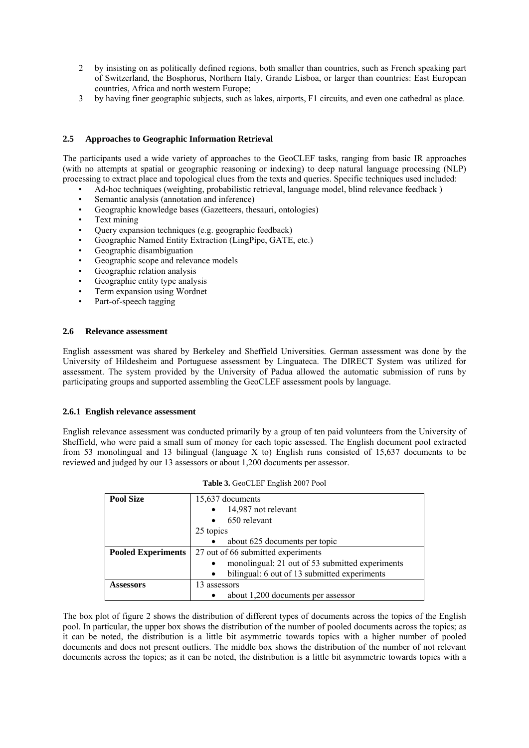- 2 by insisting on as politically defined regions, both smaller than countries, such as French speaking part of Switzerland, the Bosphorus, Northern Italy, Grande Lisboa, or larger than countries: East European countries, Africa and north western Europe;
- 3 by having finer geographic subjects, such as lakes, airports, F1 circuits, and even one cathedral as place.

### **2.5 Approaches to Geographic Information Retrieval**

The participants used a wide variety of approaches to the GeoCLEF tasks, ranging from basic IR approaches (with no attempts at spatial or geographic reasoning or indexing) to deep natural language processing (NLP) processing to extract place and topological clues from the texts and queries. Specific techniques used included:

- Ad-hoc techniques (weighting, probabilistic retrieval, language model, blind relevance feedback )
- Semantic analysis (annotation and inference)
- Geographic knowledge bases (Gazetteers, thesauri, ontologies)
- Text mining
- Query expansion techniques (e.g. geographic feedback)
- Geographic Named Entity Extraction (LingPipe, GATE, etc.)
- Geographic disambiguation
- Geographic scope and relevance models
- Geographic relation analysis
- Geographic entity type analysis
- Term expansion using Wordnet
- Part-of-speech tagging

#### **2.6 Relevance assessment**

English assessment was shared by Berkeley and Sheffield Universities. German assessment was done by the University of Hildesheim and Portuguese assessment by Linguateca. The DIRECT System was utilized for assessment. The system provided by the University of Padua allowed the automatic submission of runs by participating groups and supported assembling the GeoCLEF assessment pools by language.

#### **2.6.1 English relevance assessment**

English relevance assessment was conducted primarily by a group of ten paid volunteers from the University of Sheffield, who were paid a small sum of money for each topic assessed. The English document pool extracted from 53 monolingual and 13 bilingual (language X to) English runs consisted of 15,637 documents to be reviewed and judged by our 13 assessors or about 1,200 documents per assessor.

| <b>Pool Size</b>          | 15,637 documents                                             |  |
|---------------------------|--------------------------------------------------------------|--|
|                           | 14,987 not relevant                                          |  |
|                           | 650 relevant<br>$\bullet$                                    |  |
|                           | 25 topics                                                    |  |
|                           | about 625 documents per topic<br>$\bullet$                   |  |
| <b>Pooled Experiments</b> | 27 out of 66 submitted experiments                           |  |
|                           | monolingual: 21 out of 53 submitted experiments<br>$\bullet$ |  |
|                           | bilingual: 6 out of 13 submitted experiments<br>$\bullet$    |  |
| <b>Assessors</b>          | 13 assessors                                                 |  |
|                           | about 1,200 documents per assessor                           |  |

The box plot of figure 2 shows the distribution of different types of documents across the topics of the English pool. In particular, the upper box shows the distribution of the number of pooled documents across the topics; as it can be noted, the distribution is a little bit asymmetric towards topics with a higher number of pooled documents and does not present outliers. The middle box shows the distribution of the number of not relevant documents across the topics; as it can be noted, the distribution is a little bit asymmetric towards topics with a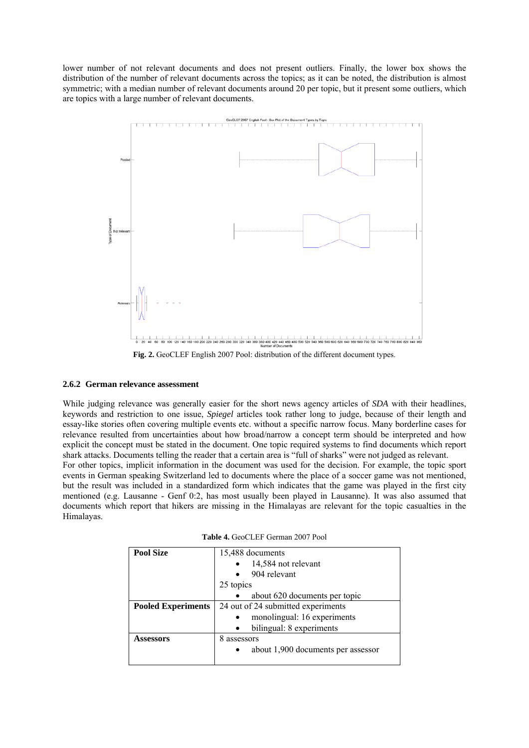lower number of not relevant documents and does not present outliers. Finally, the lower box shows the distribution of the number of relevant documents across the topics; as it can be noted, the distribution is almost symmetric; with a median number of relevant documents around 20 per topic, but it present some outliers, which are topics with a large number of relevant documents.



**Fig. 2.** GeoCLEF English 2007 Pool: distribution of the different document types.

#### **2.6.2 German relevance assessment**

While judging relevance was generally easier for the short news agency articles of *SDA* with their headlines, keywords and restriction to one issue, *Spiegel* articles took rather long to judge, because of their length and essay-like stories often covering multiple events etc. without a specific narrow focus. Many borderline cases for relevance resulted from uncertainties about how broad/narrow a concept term should be interpreted and how explicit the concept must be stated in the document. One topic required systems to find documents which report shark attacks. Documents telling the reader that a certain area is "full of sharks" were not judged as relevant. For other topics, implicit information in the document was used for the decision. For example, the topic sport events in German speaking Switzerland led to documents where the place of a soccer game was not mentioned, but the result was included in a standardized form which indicates that the game was played in the first city mentioned (e.g. Lausanne - Genf 0:2, has most usually been played in Lausanne). It was also assumed that documents which report that hikers are missing in the Himalayas are relevant for the topic casualties in the Himalayas.

| <b>Table 4. GeoCLEF German 2007 Pool</b> |  |  |
|------------------------------------------|--|--|
|                                          |  |  |

| <b>Pool Size</b>          | 15,488 documents                                |  |  |
|---------------------------|-------------------------------------------------|--|--|
|                           | 14,584 not relevant                             |  |  |
|                           | 904 relevant                                    |  |  |
|                           | 25 topics                                       |  |  |
|                           | about 620 documents per topic                   |  |  |
| <b>Pooled Experiments</b> | 24 out of 24 submitted experiments              |  |  |
|                           | monolingual: 16 experiments                     |  |  |
|                           | bilingual: 8 experiments                        |  |  |
| Assessors                 | 8 assessors                                     |  |  |
|                           | about 1,900 documents per assessor<br>$\bullet$ |  |  |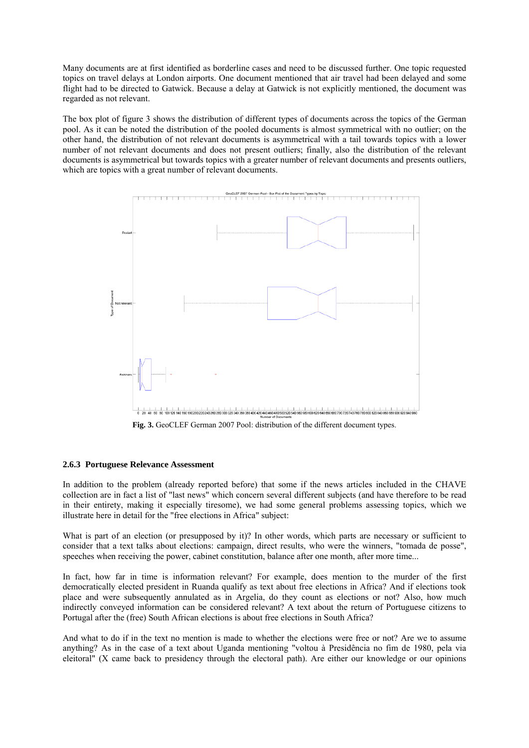Many documents are at first identified as borderline cases and need to be discussed further. One topic requested topics on travel delays at London airports. One document mentioned that air travel had been delayed and some flight had to be directed to Gatwick. Because a delay at Gatwick is not explicitly mentioned, the document was regarded as not relevant.

The box plot of figure 3 shows the distribution of different types of documents across the topics of the German pool. As it can be noted the distribution of the pooled documents is almost symmetrical with no outlier; on the other hand, the distribution of not relevant documents is asymmetrical with a tail towards topics with a lower number of not relevant documents and does not present outliers; finally, also the distribution of the relevant documents is asymmetrical but towards topics with a greater number of relevant documents and presents outliers, which are topics with a great number of relevant documents.



**Fig. 3.** GeoCLEF German 2007 Pool: distribution of the different document types.

#### **2.6.3 Portuguese Relevance Assessment**

In addition to the problem (already reported before) that some if the news articles included in the CHAVE collection are in fact a list of "last news" which concern several different subjects (and have therefore to be read in their entirety, making it especially tiresome), we had some general problems assessing topics, which we illustrate here in detail for the "free elections in Africa" subject:

What is part of an election (or presupposed by it)? In other words, which parts are necessary or sufficient to consider that a text talks about elections: campaign, direct results, who were the winners, "tomada de posse", speeches when receiving the power, cabinet constitution, balance after one month, after more time...

In fact, how far in time is information relevant? For example, does mention to the murder of the first democratically elected president in Ruanda qualify as text about free elections in Africa? And if elections took place and were subsequently annulated as in Argelia, do they count as elections or not? Also, how much indirectly conveyed information can be considered relevant? A text about the return of Portuguese citizens to Portugal after the (free) South African elections is about free elections in South Africa?

And what to do if in the text no mention is made to whether the elections were free or not? Are we to assume anything? As in the case of a text about Uganda mentioning "voltou à Presidência no fim de 1980, pela via eleitoral" (X came back to presidency through the electoral path). Are either our knowledge or our opinions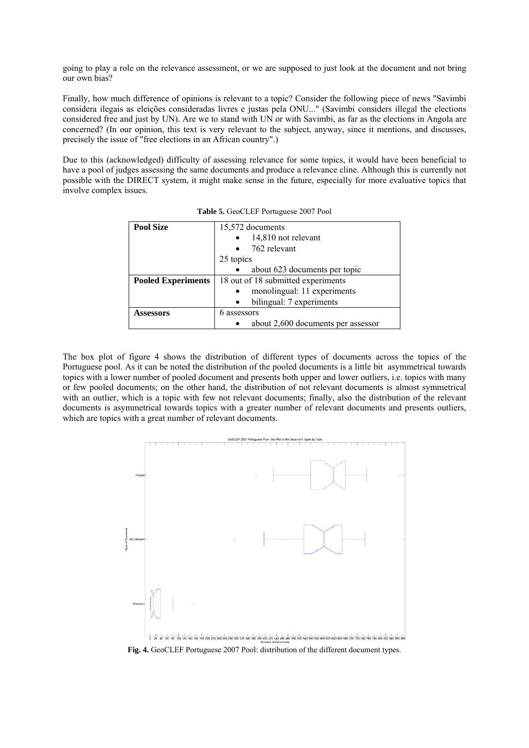going to play a role on the relevance assessment, or we are supposed to just look at the document and not bring our own bias?

Finally, how much difference of opinions is relevant to a topic? Consider the following piece of news "Savimbi considera ilegais as eleições consideradas livres e justas pela ONU..." (Savimbi considers illegal the elections considered free and just by UN). Are we to stand with UN or with Savimbi, as far as the elections in Angola are concerned? (In our opinion, this text is very relevant to the subject, anyway, since it mentions, and discusses, precisely the issue of "free elections in an African country".)

Due to this (acknowledged) difficulty of assessing relevance for some topics, it would have been beneficial to have a pool of judges assessing the same documents and produce a relevance cline. Although this is currently not possible with the DIRECT system, it might make sense in the future, especially for more evaluative topics that involve complex issues.

| <b>Pool Size</b>          | 15,572 documents                           |  |
|---------------------------|--------------------------------------------|--|
|                           | 14,810 not relevant                        |  |
|                           | $\bullet$ 762 relevant                     |  |
|                           | 25 topics                                  |  |
|                           | about 623 documents per topic<br>$\bullet$ |  |
| <b>Pooled Experiments</b> | 18 out of 18 submitted experiments         |  |
|                           | monolingual: 11 experiments<br>$\bullet$   |  |
|                           | bilingual: 7 experiments<br>$\bullet$      |  |
| Assessors                 | 6 assessors                                |  |
|                           | about 2,600 documents per assessor         |  |

The box plot of figure 4 shows the distribution of different types of documents across the topics of the Portuguese pool. As it can be noted the distribution of the pooled documents is a little bit asymmetrical towards topics with a lower number of pooled document and presents both upper and lower outliers, i.e. topics with many or few pooled documents; on the other hand, the distribution of not relevant documents is almost symmetrical with an outlier, which is a topic with few not relevant documents; finally, also the distribution of the relevant documents is asymmetrical towards topics with a greater number of relevant documents and presents outliers, which are topics with a great number of relevant documents.



**Fig. 4.** GeoCLEF Portuguese 2007 Pool: distribution of the different document types.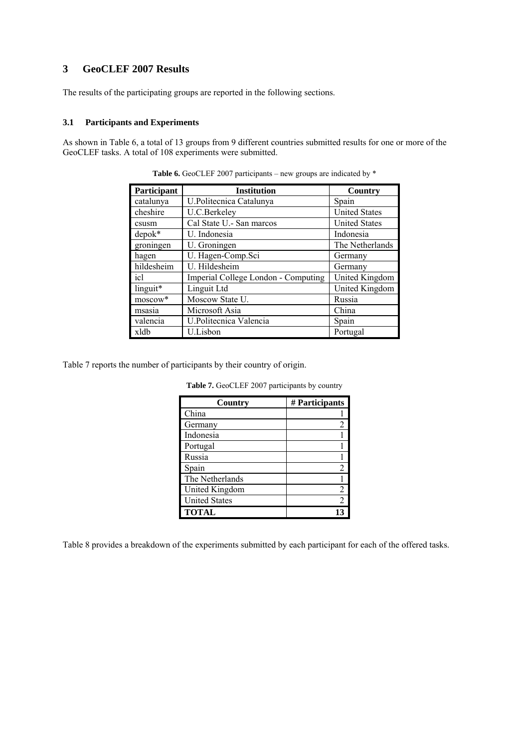# **3 GeoCLEF 2007 Results**

The results of the participating groups are reported in the following sections.

### **3.1 Participants and Experiments**

As shown in Table 6, a total of 13 groups from 9 different countries submitted results for one or more of the GeoCLEF tasks. A total of 108 experiments were submitted.

| Participant | <b>Institution</b>                  | Country              |
|-------------|-------------------------------------|----------------------|
| catalunya   | U.Politecnica Catalunya             | Spain                |
| cheshire    | U.C.Berkeley                        | <b>United States</b> |
| csusm       | Cal State U.- San marcos            | <b>United States</b> |
| depok*      | U. Indonesia                        | Indonesia            |
| groningen   | U. Groningen                        | The Netherlands      |
| hagen       | U. Hagen-Comp.Sci                   | Germany              |
| hildesheim  | U. Hildesheim                       | Germany              |
| icl         | Imperial College London - Computing | United Kingdom       |
| linguit*    | Linguit Ltd                         | United Kingdom       |
| moscow*     | Moscow State U.                     | Russia               |
| msasia      | Microsoft Asia                      | China                |
| valencia    | U.Politecnica Valencia              | Spain                |
| xldb        | U.Lisbon                            | Portugal             |

Table 6. GeoCLEF 2007 participants – new groups are indicated by  $*$ 

Table 7 reports the number of participants by their country of origin.

| Country              | # Participants |
|----------------------|----------------|
| China                |                |
| Germany              |                |
| Indonesia            |                |
| Portugal             |                |
| Russia               |                |
| Spain                |                |
| The Netherlands      |                |
| United Kingdom       | 2              |
| <b>United States</b> | 2              |
| <b>TOTAL</b>         | I٩             |

**Table 7.** GeoCLEF 2007 participants by country

Table 8 provides a breakdown of the experiments submitted by each participant for each of the offered tasks.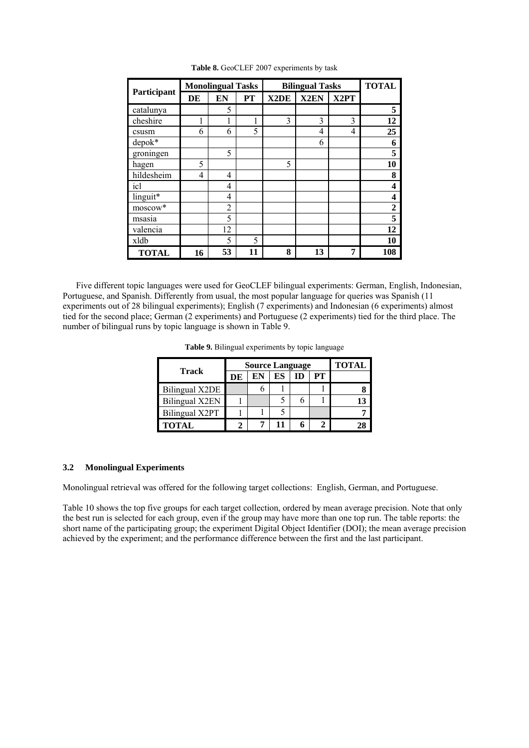|              |                | <b>Monolingual Tasks</b> |    |                   | <b>Bilingual Tasks</b> |                   |                         |  |  |  |
|--------------|----------------|--------------------------|----|-------------------|------------------------|-------------------|-------------------------|--|--|--|
| Participant  | DE             | EN                       | PT | X <sub>2</sub> DE | X <sub>2</sub> EN      | X <sub>2</sub> PT |                         |  |  |  |
| catalunya    |                | 5                        |    |                   |                        |                   | 5                       |  |  |  |
| cheshire     |                |                          |    | 3                 | 3                      | 3                 | 12                      |  |  |  |
| csusm        | 6              | 6                        | 5  |                   | 4                      | 4                 | 25                      |  |  |  |
| depok*       |                |                          |    |                   | 6                      |                   | 6                       |  |  |  |
| groningen    |                | 5                        |    |                   |                        |                   | 5                       |  |  |  |
| hagen        | 5              |                          |    | 5                 |                        |                   | 10                      |  |  |  |
| hildesheim   | $\overline{4}$ | 4                        |    |                   |                        |                   | 8                       |  |  |  |
| icl          |                | 4                        |    |                   |                        |                   | $\overline{\mathbf{4}}$ |  |  |  |
| linguit*     |                | 4                        |    |                   |                        |                   | 4                       |  |  |  |
| moscow*      |                | $\overline{2}$           |    |                   |                        |                   | $\overline{2}$          |  |  |  |
| msasia       |                | 5                        |    |                   |                        |                   | 5                       |  |  |  |
| valencia     |                | 12                       |    |                   |                        |                   | 12                      |  |  |  |
| xldb         |                | 5                        | 5  |                   |                        |                   | 10                      |  |  |  |
| <b>TOTAL</b> | 16             | 53                       | 11 | 8                 | 13                     | 7                 | 108                     |  |  |  |

**Table 8.** GeoCLEF 2007 experiments by task

 Five different topic languages were used for GeoCLEF bilingual experiments: German, English, Indonesian, Portuguese, and Spanish. Differently from usual, the most popular language for queries was Spanish (11 experiments out of 28 bilingual experiments); English (7 experiments) and Indonesian (6 experiments) almost tied for the second place; German (2 experiments) and Portuguese (2 experiments) tied for the third place. The number of bilingual runs by topic language is shown in Table 9.

**Table 9.** Bilingual experiments by topic language

|                       |    | <b>Source Language</b> | <b>TOTAL</b> |    |    |    |
|-----------------------|----|------------------------|--------------|----|----|----|
| Track                 | DE | EN                     | ES           | ID | PТ |    |
| Bilingual X2DE        |    |                        |              |    |    |    |
| <b>Bilingual X2EN</b> |    |                        |              |    |    | 13 |
| Bilingual X2PT        |    |                        |              |    |    |    |
| <b>TOTAL</b>          |    |                        |              |    |    |    |

#### **3.2 Monolingual Experiments**

Monolingual retrieval was offered for the following target collections: English, German, and Portuguese.

Table 10 shows the top five groups for each target collection, ordered by mean average precision. Note that only the best run is selected for each group, even if the group may have more than one top run. The table reports: the short name of the participating group; the experiment Digital Object Identifier (DOI); the mean average precision achieved by the experiment; and the performance difference between the first and the last participant.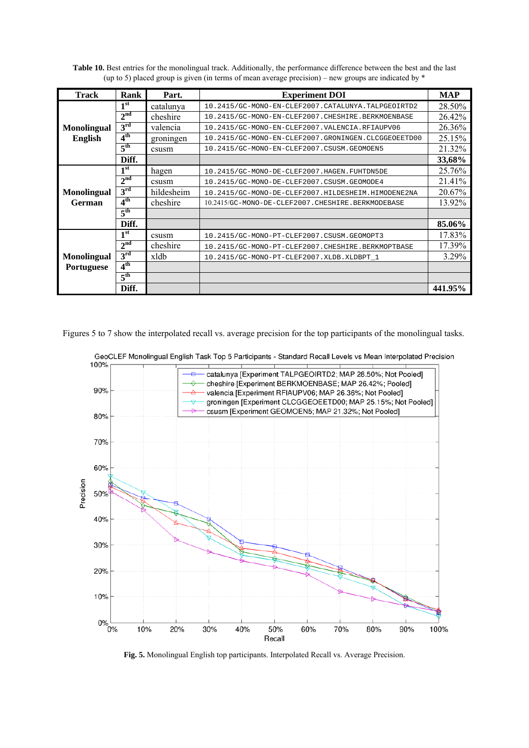| <b>Track</b>       | Rank                       | Part.      | <b>Experiment DOI</b>                               | <b>MAP</b> |
|--------------------|----------------------------|------------|-----------------------------------------------------|------------|
|                    | 1 <sup>st</sup>            | catalunya  | 10.2415/GC-MONO-EN-CLEF2007.CATALUNYA.TALPGEOIRTD2  | 28.50%     |
|                    | 2 <sup>nd</sup>            | cheshire   | 10.2415/GC-MONO-EN-CLEF2007.CHESHIRE.BERKMOENBASE   | 26.42%     |
| <b>Monolingual</b> | 3 <sup>rd</sup>            | valencia   | 10.2415/GC-MONO-EN-CLEF2007.VALENCIA.RFIAUPV06      | 26.36%     |
| <b>English</b>     | 4 <sup>th</sup>            | groningen  | 10.2415/GC-MONO-EN-CLEF2007.GRONINGEN.CLCGGEOEETD00 | 25.15%     |
|                    | 5 <sup>th</sup>            | csusm      | 10.2415/GC-MONO-EN-CLEF2007.CSUSM.GEOMOEN5          | 21.32%     |
|                    | Diff.                      |            |                                                     | 33,68%     |
|                    | $1^{\rm st}$               | hagen      | 10.2415/GC-MONO-DE-CLEF2007.HAGEN.FUHTDN5DE         | 25.76%     |
|                    | 2 <sup>nd</sup>            | csusm      | 10.2415/GC-MONO-DE-CLEF2007.CSUSM.GEOMODE4          | 21.41%     |
| <b>Monolingual</b> | 3 <sup>rd</sup>            | hildesheim | 10.2415/GC-MONO-DE-CLEF2007.HILDESHEIM.HIMODENE2NA  | 20.67%     |
| German             | 4 <sup>th</sup>            | cheshire   | 10.2415/GC-MONO-DE-CLEF2007. CHESHIRE. BERKMODEBASE | 13.92%     |
|                    | 5 <sup>th</sup>            |            |                                                     |            |
|                    | Diff.                      |            |                                                     | 85.06%     |
|                    | 1 <sup>st</sup>            | csusm      | 10.2415/GC-MONO-PT-CLEF2007.CSUSM.GEOMOPT3          | 17.83%     |
|                    | 2 <sup>nd</sup>            | cheshire   | 10.2415/GC-MONO-PT-CLEF2007.CHESHIRE.BERKMOPTBASE   | 17.39%     |
| <b>Monolingual</b> | $3^{\rm rd}$               | xldb       | 10.2415/GC-MONO-PT-CLEF2007.XLDB.XLDBPT 1           | 3.29%      |
| Portuguese         | $4^{\overline{\text{th}}}$ |            |                                                     |            |
|                    | 5 <sup>th</sup>            |            |                                                     |            |
|                    | Diff.                      |            |                                                     | 441.95%    |

**Table 10.** Best entries for the monolingual track. Additionally, the performance difference between the best and the last (up to 5) placed group is given (in terms of mean average precision) – new groups are indicated by \*

Figures 5 to 7 show the interpolated recall vs. average precision for the top participants of the monolingual tasks.



GeoCLEF Monolingual English Task Top 5 Participants - Standard Recall Levels vs Mean Interpolated Precision

**Fig. 5.** Monolingual English top participants. Interpolated Recall vs. Average Precision.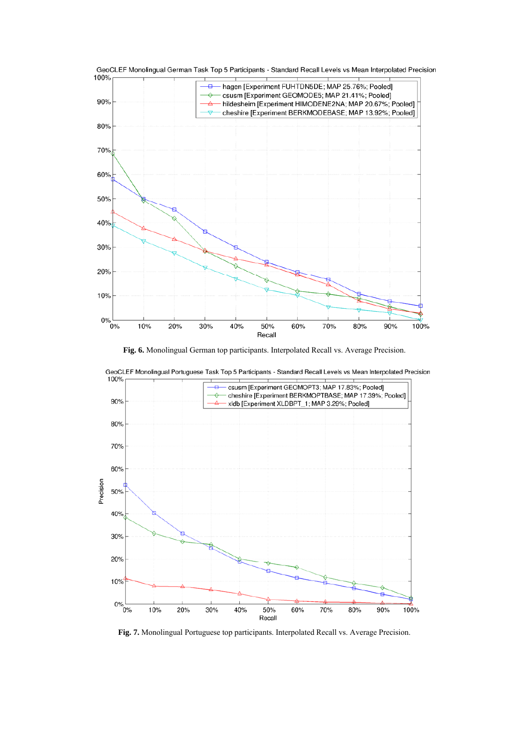





GeoCLEF Monolingual Portuguese Task Top 5 Participants - Standard Recall Levels vs Mean Interpolated Precision

**Fig. 7.** Monolingual Portuguese top participants. Interpolated Recall vs. Average Precision.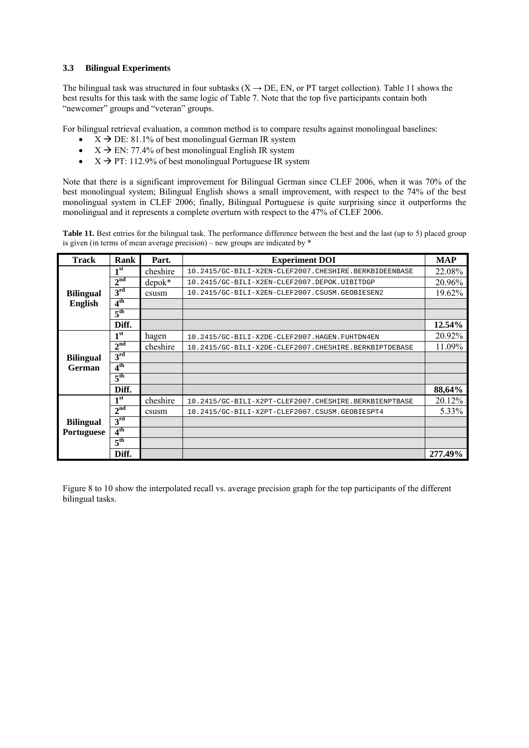#### **3.3 Bilingual Experiments**

The bilingual task was structured in four subtasks ( $X \rightarrow DE$ , EN, or PT target collection). Table 11 shows the best results for this task with the same logic of Table 7. Note that the top five participants contain both "newcomer" groups and "veteran" groups.

For bilingual retrieval evaluation, a common method is to compare results against monolingual baselines:

- $X \rightarrow DE$ : 81.1% of best monolingual German IR system
- $X \rightarrow EN$ : 77.4% of best monolingual English IR system
- $X \rightarrow PT$ : 112.9% of best monolingual Portuguese IR system

Note that there is a significant improvement for Bilingual German since CLEF 2006, when it was 70% of the best monolingual system; Bilingual English shows a small improvement, with respect to the 74% of the best monolingual system in CLEF 2006; finally, Bilingual Portuguese is quite surprising since it outperforms the monolingual and it represents a complete overturn with respect to the 47% of CLEF 2006.

**Table 11.** Best entries for the bilingual task. The performance difference between the best and the last (up to 5) placed group is given (in terms of mean average precision) – new groups are indicated by \*

| <b>Track</b>     | Rank            | Part.    | <b>Experiment DOI</b>                                 | <b>MAP</b> |
|------------------|-----------------|----------|-------------------------------------------------------|------------|
|                  | 1 <sup>st</sup> | cheshire | 10.2415/GC-BILI-X2EN-CLEF2007.CHESHIRE.BERKBIDEENBASE | 22.08%     |
|                  | 2 <sup>nd</sup> | $depok*$ | 10.2415/GC-BILI-X2EN-CLEF2007.DEPOK.UIBITDGP          | 20.96%     |
| <b>Bilingual</b> | $3^{\rm rd}$    | csusm    | 10.2415/GC-BILI-X2EN-CLEF2007.CSUSM.GEOBIESEN2        | 19.62%     |
| <b>English</b>   | 4 <sup>th</sup> |          |                                                       |            |
|                  | 5 <sup>th</sup> |          |                                                       |            |
|                  | Diff.           |          |                                                       | 12.54%     |
|                  | 1 <sup>st</sup> | hagen    | 10.2415/GC-BILI-X2DE-CLEF2007.HAGEN.FUHTDN4EN         | 20.92%     |
|                  | 2 <sup>nd</sup> | cheshire | 10.2415/GC-BILI-X2DE-CLEF2007.CHESHIRE.BERKBIPTDEBASE | 11.09%     |
| <b>Bilingual</b> | 3 <sup>rd</sup> |          |                                                       |            |
| <b>German</b>    | 4 <sup>th</sup> |          |                                                       |            |
|                  | $5^{\text{th}}$ |          |                                                       |            |
|                  | Diff.           |          |                                                       | 88,64%     |
|                  | 1 <sup>st</sup> | cheshire | 10.2415/GC-BILI-X2PT-CLEF2007.CHESHIRE.BERKBIENPTBASE | 20.12%     |
|                  | 2 <sup>nd</sup> | csusm    | 10.2415/GC-BILI-X2PT-CLEF2007.CSUSM.GEOBIESPT4        | 5.33%      |
| <b>Bilingual</b> | 3 <sup>rd</sup> |          |                                                       |            |
| Portuguese       | 4 <sup>th</sup> |          |                                                       |            |
|                  | 5 <sup>th</sup> |          |                                                       |            |
|                  | Diff.           |          |                                                       | 277.49%    |

Figure 8 to 10 show the interpolated recall vs. average precision graph for the top participants of the different bilingual tasks.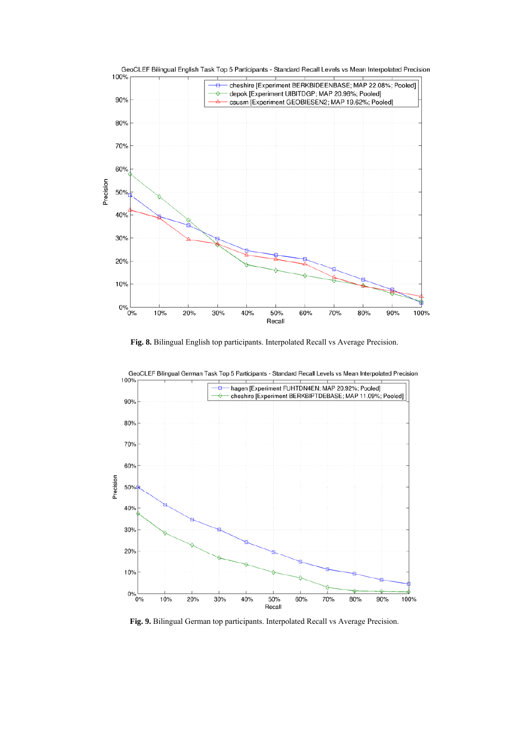

**Fig. 8.** Bilingual English top participants. Interpolated Recall vs Average Precision.



**Fig. 9.** Bilingual German top participants. Interpolated Recall vs Average Precision.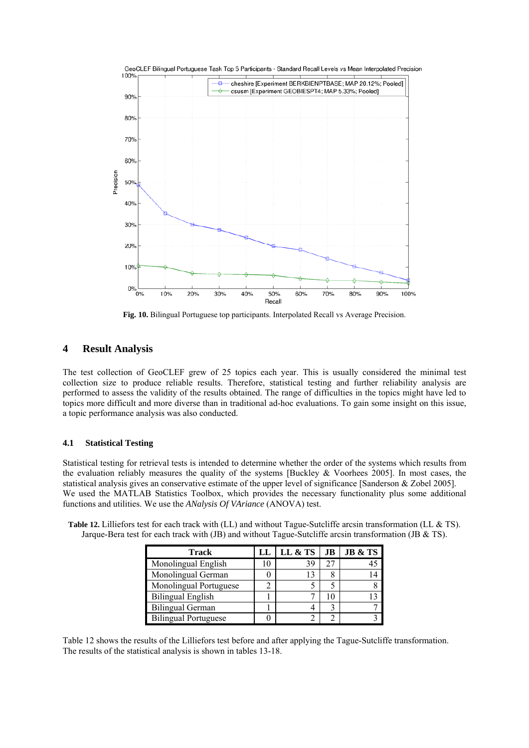

**Fig. 10.** Bilingual Portuguese top participants. Interpolated Recall vs Average Precision.

### **4 Result Analysis**

The test collection of GeoCLEF grew of 25 topics each year. This is usually considered the minimal test collection size to produce reliable results. Therefore, statistical testing and further reliability analysis are performed to assess the validity of the results obtained. The range of difficulties in the topics might have led to topics more difficult and more diverse than in traditional ad-hoc evaluations. To gain some insight on this issue, a topic performance analysis was also conducted.

#### **4.1 Statistical Testing**

Statistical testing for retrieval tests is intended to determine whether the order of the systems which results from the evaluation reliably measures the quality of the systems [Buckley  $\&$  Voorhees 2005]. In most cases, the statistical analysis gives an conservative estimate of the upper level of significance [Sanderson & Zobel 2005]. We used the MATLAB Statistics Toolbox, which provides the necessary functionality plus some additional functions and utilities. We use the *ANalysis Of VAriance* (ANOVA) test.

| <b>Track</b>                | LL | LL & TS | J <sub>B</sub> | <b>JB &amp; TS</b>        |
|-----------------------------|----|---------|----------------|---------------------------|
| Monolingual English         | 10 | 39      | 27             | 45                        |
| Monolingual German          |    | 13      |                | 14                        |
| Monolingual Portuguese      |    |         |                |                           |
| <b>Bilingual English</b>    |    |         | 10             | $\mathsf{I}^{\mathsf{a}}$ |
| <b>Bilingual German</b>     |    |         |                |                           |
| <b>Bilingual Portuguese</b> |    |         |                |                           |

**Table 12.** Lilliefors test for each track with (LL) and without Tague-Sutcliffe arcsin transformation (LL & TS). Jarque-Bera test for each track with (JB) and without Tague-Sutcliffe arcsin transformation (JB & TS).

Table 12 shows the results of the Lilliefors test before and after applying the Tague-Sutcliffe transformation. The results of the statistical analysis is shown in tables 13-18.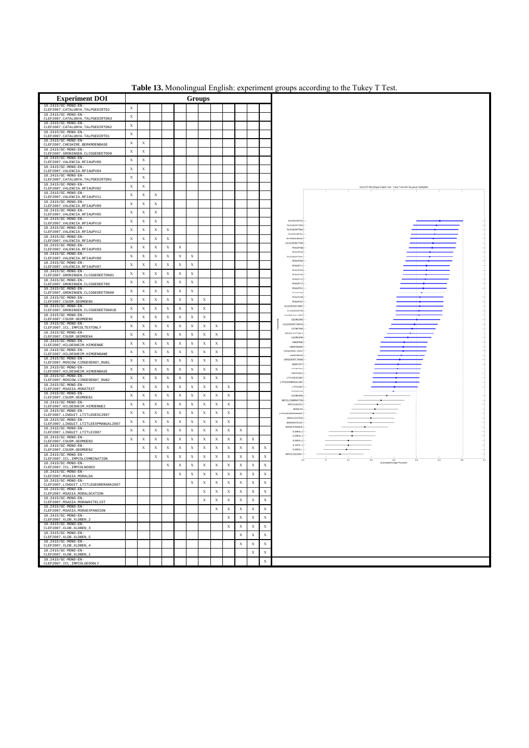|                                                             |             |                           |             |             |             |                           |             |             |             |             |             |             |                                           | <b>Table 15.</b> MORDINgual English. experiment groups according to the Tukey T Test. |
|-------------------------------------------------------------|-------------|---------------------------|-------------|-------------|-------------|---------------------------|-------------|-------------|-------------|-------------|-------------|-------------|-------------------------------------------|---------------------------------------------------------------------------------------|
| <b>Experiment DOI</b><br>10.2415/GC-MONO-EN-                |             |                           |             |             |             | <b>Groups</b>             |             |             |             |             |             |             |                                           |                                                                                       |
| CLEF2007. CATALUNYA. TALPGEOIRTD2                           | $\mathbf X$ |                           |             |             |             |                           |             |             |             |             |             |             |                                           |                                                                                       |
| 10.2415/GC-MONO-EN-<br>CLEF2007. CATALUNYA. TALPGEOIRTDN3   | $\mathbf X$ |                           |             |             |             |                           |             |             |             |             |             |             |                                           |                                                                                       |
| 10.2415/GC-MONO-EN-<br>CLEF2007. CATALUNYA. TALPGEOIRTDN2   | $\mathbf X$ |                           |             |             |             |                           |             |             |             |             |             |             |                                           |                                                                                       |
| 10.2415/GC-MONO-EN-<br>CLEF2007. CATALUNYA. TALPGEOIRTD1    | $\mathbf x$ |                           |             |             |             |                           |             |             |             |             |             |             |                                           |                                                                                       |
| 10.2415/GC-MONO-EN-<br>CLEF2007. CHESHIRE. BERKMOENBASE     | X           | X                         |             |             |             |                           |             |             |             |             |             |             |                                           |                                                                                       |
| 10.2415/GC-MONO-EN-<br>CLEF2007. GRONINGEN. CLCGGEOEETD00   | X           | $\mathbf X$               |             |             |             |                           |             |             |             |             |             |             |                                           |                                                                                       |
| 10.2415/GC-MONO-EN-<br>CLEF2007. VALENCIA.RFIAUPV06         | $\mathbf X$ | $\mathbf X$               |             |             |             |                           |             |             |             |             |             |             |                                           |                                                                                       |
| 10.2415/GC-MONO-EN-                                         | X           | X                         |             |             |             |                           |             |             |             |             |             |             |                                           |                                                                                       |
| CLEF2007. VALENCIA.RFIAUPV04<br>10.2415/GC-MONO-EN-         | $\mathbf X$ | $\mathbf x$               |             |             |             |                           |             |             |             |             |             |             |                                           |                                                                                       |
| CLEF2007. CATALUNYA. TALPGEOIRTDN1<br>10.2415/GC-MONO-EN-   | $\mathbf X$ | $\mathbf x$               |             |             |             |                           |             |             |             |             |             |             |                                           |                                                                                       |
| CLEF2007. VALENCIA.RFIAUPV02<br>10.2415/GC-MONO-EN-         |             |                           |             |             |             |                           |             |             |             |             |             |             |                                           | GeoCLEF Monolingual English Task - Tukey T test with "top group" highlighted          |
| CLEF2007. VALENCIA.RFIAUPV11<br>10.2415/GC-MONO-EN-         | $\mathbf X$ | $\mathbf X$               | $\mathbf X$ |             |             |                           |             |             |             |             |             |             |                                           |                                                                                       |
| CLEF2007. VALENCIA.RFIAUPV09<br>10.2415/GC-MONO-EN-         | $\mathbf X$ | $\boldsymbol{\mathsf{X}}$ | $\mathbf X$ |             |             |                           |             |             |             |             |             |             |                                           |                                                                                       |
| CLEF2007. VALENCIA.RFIAUPV05                                | X           | $\mathbf X$               | X           |             |             |                           |             |             |             |             |             |             |                                           |                                                                                       |
| 10.2415/GC-MONO-EN-<br>CLEF2007. VALENCIA.RFIAUPV10         | $\mathbf X$ | $\mathbf x$               | X           |             |             |                           |             |             |             |             |             |             | TALPGEORTED<br><b>TALPGEORTDN3</b>        |                                                                                       |
| 10.2415/GC-MONO-EN-<br>CLEF2007. VALENCIA.RFIAUPV12         | $\mathbf X$ | $\mathbf X$               | $\mathbf X$ | $\mathbf X$ |             |                           |             |             |             |             |             |             | TALPGEOIRTEN2<br>TALPGEORITDS             |                                                                                       |
| 10.2415/GC-MONO-EN-<br>CLEF2007. VALENCIA.RFIAUPV01         | X           | X                         | X           | X           |             |                           |             |             |             |             |             |             | BERWICENBASE                              |                                                                                       |
| 10.2415/GC-MONO-EN-<br>CLEF2007. VALENCIA.RFIAUPV03         | X           | $\mathbf x$               | $\mathbf X$ | $\mathbf X$ | $\mathbf X$ |                           |             |             |             |             |             |             | CLCOGEOEETDOO<br>RFML#V06                 |                                                                                       |
| 10.2415/GC-MONO-EN-<br>CLEF2007. VALENCIA.RFIAUPV08         | $\mathbf X$ | $\mathbf X$               | $\mathbf X$ | X           | $\mathbf X$ | $\mathbf X$               |             |             |             |             |             |             | RFWJPVIA<br>TALPOECKRTDN1                 |                                                                                       |
| 10.2415/GC-MONO-EN-                                         | X           | X                         | X           | $\mathbf x$ | $_{\rm X}$  | $_{\rm X}$                |             |             |             |             |             |             | RFAUPV12<br>REAUPVLE                      |                                                                                       |
| CLEF2007. VALENCIA.RFIAUPV07<br>10.2415/GC-MONO-EN-         | $\mathbf X$ | X                         | $\mathbf X$ | $\mathbf X$ | $\mathbf X$ | $\mathbf X$               |             |             |             |             |             |             | <b>REMUPVOOL</b><br>REAUPVIS              |                                                                                       |
| CLEF2007.GRONINGEN.CLCGGEOEETDN01<br>10.2415/GC-MONO-EN-    | $\mathbf X$ | X                         | X           | $\mathbf x$ | $_{\rm X}$  | $\mathbf X$               |             |             |             |             |             |             | REMUPV10                                  |                                                                                       |
| CLEF2007. GRONINGEN. CLCGGEOEET00<br>10.2415/GC-MONO-EN-    |             |                           |             |             |             |                           |             |             |             |             |             |             | RFMUPV12<br>REAUPVIL                      |                                                                                       |
| CLEF2007.GRONINGEN.CLCGGEOEETDN00<br>10.2415/GC-MONO-EN-    | $\mathbf X$ | $\mathbf X$               | $\mathbf X$ | $\mathbf X$ | $\mathbf X$ | $\mathbf X$               |             |             |             |             |             |             | RFIAUPV03<br>RFMJPV38                     |                                                                                       |
| CLEF2007.CSUSM.GEOMOEN5<br>10.2415/GC-MONO-EN-              | $\mathbf X$ | $\mathbf x$               | X           | $\mathbf x$ | $\mathbf X$ | $\mathbf X$               | $\mathbf X$ |             |             |             |             |             | RINGPVD<br>CLODGEOEETONI!                 |                                                                                       |
| CLEF2007.GRONINGEN.CLCGGEOEETDN01B                          | X           | $\mathbf x$               | X           | $\mathbf X$ | $\mathbf X$ | $\mathbf X$               | $\mathbf X$ |             |             |             |             |             | CLODGEOEETIN                              |                                                                                       |
| 10.2415/GC-MONO-EN-<br>CLEF2007. CSUSM. GEOMOEN6            | X           | $\mathbf X$               | X           | $\mathbf X$ | $\mathbf X$ | $\mathbf x$               | $\mathbf X$ |             |             |             |             |             | CLODGE DEETONIK<br><b>CEOMORM</b>         |                                                                                       |
| 10.2415/GC-MONO-EN-<br>CLEF2007. ICL. IMPCOLTEXTONLY        | $\mathbf X$ | $\mathbf X$               | $\mathbf x$ | $\mathbf X$ | $\mathbf X$ | $\mathbf x$               | $\mathbf X$ | $\mathbf X$ |             |             |             |             | CLCCCECETOMINE<br><b>GEOMOENS</b>         |                                                                                       |
| 10.2415/GC-MONO-EN-<br>CLEF2007. CSUSM. GEOMOEN4            | X           | X                         | X           | X           | $\mathbf X$ | $\mathbf X$               | $\mathbf x$ | $\mathbf x$ |             |             |             |             | MPCOLTEXTON: V<br>GEOMOENA                |                                                                                       |
| 10.2415/GC-MONO-EN-<br>CLEF2007.HILDESHEIM.HIMOENNE         | X           | X                         | $\mathbf X$ | $\mathbf x$ | $\mathbf X$ | $\boldsymbol{\mathsf{X}}$ | $\mathbf X$ | $\mathbf X$ |             |             |             |             | <b>HACCIVAE</b><br>HIACENNAME             |                                                                                       |
| 10.2415/GC-MONO-EN-<br>CLEF2007. HILDESHEIM. HIMOENNANE     | $\mathbf X$ | $\mathbf X$               | X           | $\mathbf X$ | $\mathbf X$ | $\mathbf x$               | $\mathbf X$ | $\mathbf X$ |             |             |             |             | CROECENET_RUNS<br>HMOENDASE               |                                                                                       |
| 10.2415/GC-MONO-EN-<br>CLEF2007.MOSCOW.CIRGEOEN07 RUN1      | X           | X                         | X           | $\mathbf x$ | $_{\rm X}$  | $\mathbf x$               | $\mathbf X$ | $\mathbf X$ |             |             |             |             | CIRCECENST_RUNZ                           |                                                                                       |
| 10.2415/GC-MONO-EN-                                         | $\mathbf X$ | X                         | $\mathbf X$ | $\mathbf x$ | $\mathbf X$ | $\mathbf X$               | $\mathbf X$ | $\mathbf X$ |             |             |             |             | MSRATEXT<br>concessi.                     |                                                                                       |
| CLEF2007. HILDESHEIM. HIMOENBASE<br>10.2415/GC-MONO-EN-     | $\mathbf X$ | X                         | X           | $\mathbf x$ | $_{\rm X}$  | $\mathbf X$               | $\mathbf X$ | $\mathbf X$ |             |             |             |             | HMOENNE2<br>LTMLEDESC2007                 |                                                                                       |
| CLEF2007.MOSCOW.CIRGEOEN07_RUN2<br>10.2415/GC-MONO-EN-      | $\mathbf x$ | $\mathbf X$               | $\mathbf X$ |             |             | $\mathbf X$               | $\mathbf X$ | $\mathbf x$ | $\mathbf X$ |             |             |             | LTITLEEXPMANJAL2007<br>LTFLE2007          |                                                                                       |
| CLEF2007. MSASIA. MSRATEXT<br>10.2415/GC-MONO-EN-           |             |                           |             | $\mathbf X$ | $\mathbf X$ |                           |             |             |             |             |             |             | GEOMOENS<br>GEOMOEN2                      |                                                                                       |
| CLEF2007.CSUSM.GEOMOEN1<br>10.2415/GC-MONO-EN-              | $\mathbf X$ | $\mathbf X$               | $\mathbf X$ | $\mathbf x$ | $\mathbf X$ | $\mathbf X$               | $\mathbf X$ | $\mathbf X$ | $\mathbf X$ |             |             |             | IMPODLOOMBINATION                         |                                                                                       |
| CLEF2007.HILDESHEIM.HIMOENNE2<br>10.2415/GC-MONO-EN-        | $\mathbf X$ | $\mathbf X$               | X           | $\mathbf X$ | $\mathbf X$ | $\mathbf X$               | $\mathbf X$ | $\mathbf X$ | $\mathbf X$ |             |             |             | IMPCOLNOGEO<br>MSRALDA                    |                                                                                       |
| CLEF2007.LINGUIT.LTITLEDESC2007                             | X           | $\mathbf X$               | X           | $\mathbf X$ | $\mathbf X$ | $\mathbf x$               | $\mathbf X$ | $\mathbf X$ | $\mathbf X$ |             |             |             | LTTLEGEORERANK2007<br><b>MSRALOCATION</b> |                                                                                       |
| 10.2415/GC-MONO-EN-<br>CLEF2007.LINGUIT.LTITLEEXPMANUAL2007 | X           | $\mathbf x$               | $\mathbf x$ | $\mathbf x$ | $\mathbf x$ | $\mathbf X$               | $\mathbf X$ | $\mathbf X$ | $\mathbf x$ |             |             |             | MSRAWHTELIST<br>MSRAEXPANSON              |                                                                                       |
| 10.2415/GC-MONO-EN-<br>CLEF2007.LINGUIT.LTITLE2007          | X           | X                         | X           | $\mathbf X$ | $\mathbf X$ | $\mathbf X$               | $\mathbf X$ | $\mathbf x$ | $\mathbf x$ | $\mathbf x$ |             |             | XLDBEN_2                                  |                                                                                       |
| 10.2415/GC-MONO-EN-<br>CLEF2007. CSUSM. GEOMOEN3            | X           | X                         | $\mathbf X$ | $\mathbf x$ | $\mathbf X$ | $\boldsymbol{\mathsf{X}}$ | $\mathbf X$ | $\mathbf X$ | $\mathbf X$ | $\mathbf X$ | $\mathbf X$ |             | XLDBEN_3<br>XLDBEN 5                      |                                                                                       |
| 10.2415/GC-MONO-EN-<br>CLEF2007. CSUSM. GEOMOEN2            |             | $\mathbf x$               | X           | $\mathbf X$ | $\mathbf X$ | $\mathbf x$               | $\mathbf X$ | $\mathbf X$ | $\mathbf X$ | $\mathbf X$ | $\mathbf X$ | $\mathbf X$ | XLDBEN_4<br>XLDBEN_1                      |                                                                                       |
| 10.2415/GC-MONO-EN-<br>CLEF2007.ICL.IMPCOLCOMBINATION       |             |                           | $\mathbf x$ | $\mathbf x$ | $\mathbf X$ | $\mathbf X$               | $\mathbf X$ | $\mathbf X$ | $\mathbf X$ | $\mathbf X$ | $\mathbf X$ | $\mathbf X$ | MPCOLGEOONLY                              | 0.7                                                                                   |
| 10.2415/GC-MONO-EN-<br>CLEF2007. ICL. IMPCOLNOGEO           |             |                           |             | X           | $\mathbf X$ | $\mathbf x$               | $\bf{X}$    | $\mathbf x$ | $\mathbf X$ | $\mathbf X$ | $\mathbf X$ | $\mathbf x$ | $-0.1$                                    | 0.2<br>0.3<br>0.4<br>0.5<br>0.6<br>arcsin(sqrt)Average Precsion()                     |
| 10.2415/GC-MONO-EN-<br>CLEF2007. MSASIA. MSRALDA            |             |                           |             |             | $\mathbf x$ | $\mathbf x$               | $\mathbf X$ | $\mathbf X$ | $\mathbf X$ | $\mathbf X$ | $\mathbf X$ | $\mathbf X$ |                                           |                                                                                       |
| 10.2415/GC-MONO-EN-                                         |             |                           |             |             |             | $\mathbf x$               | $\mathbf X$ | $\mathbf X$ | $\mathbf X$ | $\mathbf X$ | $\mathbf X$ | $\mathbf X$ |                                           |                                                                                       |
| CLEF2007.LINGUIT.LTITLEGEORERANK2007<br>10.2415/GC-MONO-EN- |             |                           |             |             |             |                           | $\mathbf X$ | $\mathbf X$ | $\mathbf X$ | $\mathbf X$ | $\mathbf X$ | $\mathbf x$ |                                           |                                                                                       |
| CLEF2007. MSASIA. MSRALOCATION<br>10.2415/GC-MONO-EN-       |             |                           |             |             |             |                           |             |             |             |             |             |             |                                           |                                                                                       |
| CLEF2007. MSASIA. MSRAWHITELIST<br>10.2415/GC-MONO-EN-      |             |                           |             |             |             |                           | $\mathbf X$ | $\mathbf x$ | $\mathbf X$ | X           | $\mathbf x$ | $\mathbf x$ |                                           |                                                                                       |
| CLEF2007. MSASIA. MSRAEXPANSION<br>10.2415/GC-MONO-EN-      |             |                           |             |             |             |                           |             | $\mathbf X$ | $\mathbf X$ | $\mathbf X$ | $\mathbf x$ | $\mathbf X$ |                                           |                                                                                       |
| CLEF2007.XLDB.XLDBEN 2                                      |             |                           |             |             |             |                           |             |             | $\mathbf X$ | $\mathbf X$ | $\mathbf X$ | $\mathbf X$ |                                           |                                                                                       |
| 10.2415/GC-MONO-EN-<br>CLEF2007. XLDB. XLDBEN 3             |             |                           |             |             |             |                           |             |             | $\mathbf X$ | $\mathbf X$ | $\mathbf X$ | $\mathbf X$ |                                           |                                                                                       |
| 10.2415/GC-MONO-EN-<br>CLEF2007. XLDB. XLDBEN_5             |             |                           |             |             |             |                           |             |             |             | X           | $\mathbf X$ | $\mathbf X$ |                                           |                                                                                       |
| 10.2415/GC-MONO-EN-<br>CLEF2007. XLDB. XLDBEN_4             |             |                           |             |             |             |                           |             |             |             | $\mathbf X$ | $\mathbf x$ | $\mathbf x$ |                                           |                                                                                       |
| 10.2415/GC-MONO-EN-<br>CLEF2007. XLDB. XLDBEN 1             |             |                           |             |             |             |                           |             |             |             |             | $\mathbf X$ | $\mathbf X$ |                                           |                                                                                       |
| 10.2415/GC-MONO-EN-<br>CLEF2007.ICL.IMPCOLGEOONLY           |             |                           |             |             |             |                           |             |             |             |             |             | $\mathbf X$ |                                           |                                                                                       |
|                                                             |             |                           |             |             |             |                           |             |             |             |             |             |             |                                           |                                                                                       |

**Table 13.** Monolingual English: experiment groups according to the Tukey T Test.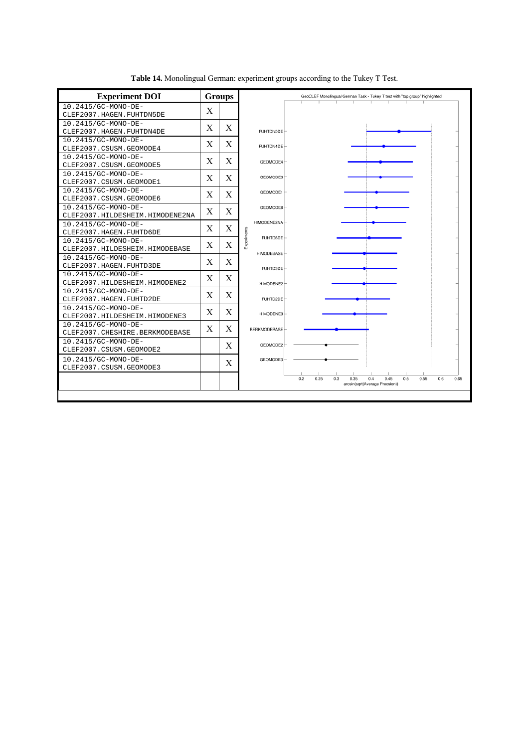| <b>Experiment DOI</b>                                   |   | <b>Groups</b> |                                              | GeoCLEF Monolingual German Task - Tukey T test with "top group" highlighted |     |                                        |     |      |     |      |     |      |
|---------------------------------------------------------|---|---------------|----------------------------------------------|-----------------------------------------------------------------------------|-----|----------------------------------------|-----|------|-----|------|-----|------|
| 10.2415/GC-MONO-DE-<br>CLEF2007.HAGEN.FUHTDN5DE         | X |               |                                              |                                                                             |     |                                        |     |      |     |      |     |      |
| 10.2415/GC-MONO-DE-<br>CLEF2007.HAGEN.FUHTDN4DE         | X | X             | <b>FUHTDN5DE</b>                             |                                                                             |     |                                        |     |      |     |      |     |      |
| 10.2415/GC-MONO-DE-<br>CLEF2007.CSUSM.GEOMODE4          | X | X             | FUHTDN4DE                                    |                                                                             |     |                                        |     |      |     |      |     |      |
| 10.2415/GC-MONO-DE-<br>CLEF2007.CSUSM.GEOMODE5          | X | X             | GEOMODE4                                     |                                                                             |     |                                        |     |      |     |      |     |      |
| 10.2415/GC-MONO-DE-<br>CLEF2007.CSUSM.GEOMODE1          | X | X             | GEOMODE5                                     |                                                                             |     |                                        |     |      |     |      |     |      |
| 10.2415/GC-MONO-DE-<br>CLEF2007.CSUSM.GEOMODE6          | X | X             | GEOMODE1                                     |                                                                             |     |                                        |     |      |     |      |     |      |
| 10.2415/GC-MONO-DE-<br>CLEF2007.HILDESHEIM.HIMODENE2NA  | X | X             | GEOMODE6                                     |                                                                             |     |                                        |     |      |     |      |     |      |
| 10.2415/GC-MONO-DE-<br>CLEF2007.HAGEN.FUHTD6DE          | X | X             | HIMODENE2NA                                  |                                                                             |     |                                        |     |      |     |      |     |      |
| 10.2415/GC-MONO-DE-<br>CLEF2007.HILDESHEIM.HIMODEBASE   | X | X             | Experiments<br>FUHTD6DE<br><b>HIMODEBASE</b> |                                                                             |     |                                        |     |      |     |      |     |      |
| 10.2415/GC-MONO-DE-<br>CLEF2007.HAGEN.FUHTD3DE          | X | X             | FUHTD3DE                                     |                                                                             |     |                                        |     |      |     |      |     |      |
| 10.2415/GC-MONO-DE-<br>CLEF2007.HILDESHEIM.HIMODENE2    | X | X             | HIMODENE2                                    |                                                                             |     |                                        |     |      |     |      |     |      |
| 10.2415/GC-MONO-DE-<br>CLEF2007.HAGEN.FUHTD2DE          | X | X             | FUHTD2DE                                     |                                                                             |     |                                        |     |      |     |      |     |      |
| 10.2415/GC-MONO-DE-<br>CLEF2007.HILDESHEIM.HIMODENE3    | X | X             | HIMODENE3                                    |                                                                             |     |                                        |     |      |     |      |     |      |
| 10.2415/GC-MONO-DE-<br>CLEF2007. CHESHIRE. BERKMODEBASE | X | X             | <b>BERKMODEBASE</b>                          |                                                                             |     |                                        |     |      |     |      |     |      |
| 10.2415/GC-MONO-DE-<br>CLEF2007.CSUSM.GEOMODE2          |   | X             | GEOMODE2                                     |                                                                             |     |                                        |     |      |     |      |     |      |
| 10.2415/GC-MONO-DE-<br>CLEF2007.CSUSM.GEOMODE3          |   | X             | GEOMODE3                                     |                                                                             |     |                                        |     |      |     |      |     |      |
|                                                         |   |               |                                              | 0.2<br>0.25                                                                 | 0.3 | 0.35<br>arcsin(sqrt(Average Precsion)) | 0.4 | 0.45 | 0.5 | 0.55 | 0.6 | 0.65 |
|                                                         |   |               |                                              |                                                                             |     |                                        |     |      |     |      |     |      |

**Table 14.** Monolingual German: experiment groups according to the Tukey T Test.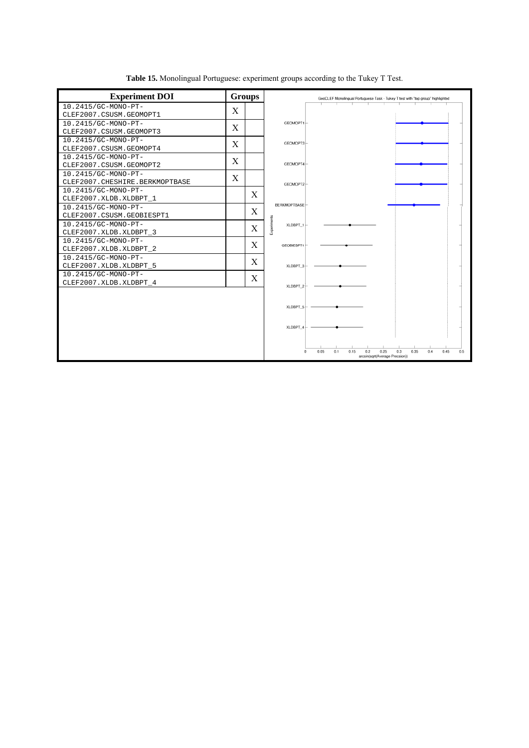| <b>Experiment DOI</b>                                   |   | <b>Groups</b> | GeoCLEF Monolingual Portuguese Task - Tukey T test with "top group" highlighted     |
|---------------------------------------------------------|---|---------------|-------------------------------------------------------------------------------------|
| 10.2415/GC-MONO-PT-                                     | X |               |                                                                                     |
| CLEF2007.CSUSM.GEOMOPT1<br>10.2415/GC-MONO-PT-          |   |               | GEOMOPT1-                                                                           |
| CLEF2007.CSUSM.GEOMOPT3                                 | X |               |                                                                                     |
| 10.2415/GC-MONO-PT-                                     | X |               | GEOMOPT3-                                                                           |
| CLEF2007.CSUSM.GEOMOPT4                                 |   |               |                                                                                     |
| 10.2415/GC-MONO-PT-                                     | X |               | GEOMOPT4-                                                                           |
| CLEF2007.CSUSM.GEOMOPT2                                 |   |               |                                                                                     |
| 10.2415/GC-MONO-PT-<br>CLEF2007. CHESHIRE. BERKMOPTBASE | X |               |                                                                                     |
| 10.2415/GC-MONO-PT-                                     |   |               | GEOMOPT2-                                                                           |
| CLEF2007.XLDB.XLDBPT_1                                  |   | X             |                                                                                     |
| 10.2415/GC-MONO-PT-                                     |   | X             | <b>BERKMOPTBASE</b>                                                                 |
| CLEF2007.CSUSM.GEOBIESPT1                               |   |               |                                                                                     |
| 10.2415/GC-MONO-PT-                                     |   | X             | Experiments<br>XLDBPT 1                                                             |
| CLEF2007.XLDB.XLDBPT_3                                  |   |               |                                                                                     |
| 10.2415/GC-MONO-PT-                                     |   | X             | GEOBIESPT1                                                                          |
| CLEF2007.XLDB.XLDBPT_2<br>10.2415/GC-MONO-PT-           |   |               |                                                                                     |
| CLEF2007.XLDB.XLDBPT 5                                  |   | X             | XLDBPT 3                                                                            |
| 10.2415/GC-MONO-PT-                                     |   |               |                                                                                     |
| CLEF2007.XLDB.XLDBPT 4                                  |   | X             | XLDBPT $2$ $-$                                                                      |
|                                                         |   |               |                                                                                     |
|                                                         |   |               |                                                                                     |
|                                                         |   |               | $XLDBPT 5$ -                                                                        |
|                                                         |   |               |                                                                                     |
|                                                         |   |               | XLDBPT 4                                                                            |
|                                                         |   |               |                                                                                     |
|                                                         |   |               | 0.05<br>0.1<br>0.25<br>0.3<br>0.35<br>0.5<br>$\theta$<br>0.15<br>0.2<br>0.4<br>0.45 |
|                                                         |   |               | arcsin(sqrt(Average Precsion))                                                      |

**Table 15.** Monolingual Portuguese: experiment groups according to the Tukey T Test.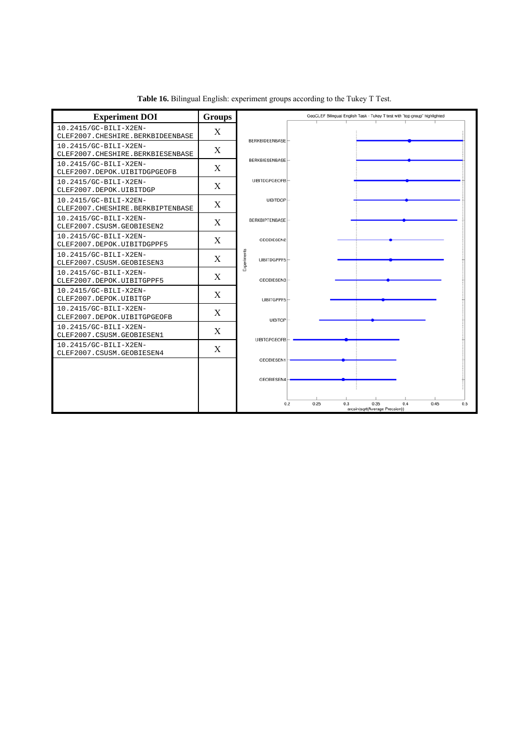| <b>Experiment DOI</b>                                       | <b>Groups</b> |                             | GeoCLEF Bilingual English Task - Tukey T test with "top group" highlighted  |
|-------------------------------------------------------------|---------------|-----------------------------|-----------------------------------------------------------------------------|
| 10.2415/GC-BILI-X2EN-<br>CLEF2007. CHESHIRE. BERKBIDEENBASE | X             | BERKBIDEENBASE-             |                                                                             |
| 10.2415/GC-BILI-X2EN-<br>CLEF2007. CHESHIRE. BERKBIESENBASE | X             |                             |                                                                             |
| 10.2415/GC-BILI-X2EN-<br>CLEF2007.DEPOK.UIBITDGPGEOFB       | X             | <b>BERKBIESENBASE</b>       |                                                                             |
| 10.2415/GC-BILI-X2EN-<br>CLEF2007.DEPOK.UIBITDGP            | X             | UIBITDGPGEOFB               |                                                                             |
| 10.2415/GC-BILI-X2EN-<br>CLEF2007. CHESHIRE. BERKBIPTENBASE | X             | UIBITDGP-                   |                                                                             |
| 10.2415/GC-BILI-X2EN-<br>CLEF2007.CSUSM.GEOBIESEN2          | X             | <b>BERKBIPTENBASE</b>       |                                                                             |
| 10.2415/GC-BILI-X2EN-<br>CLEF2007.DEPOK.UIBITDGPPF5         | X             | GEOBIESEN2                  |                                                                             |
| 10.2415/GC-BILI-X2EN-<br>CLEF2007.CSUSM.GEOBIESEN3          | X             | Experiments<br>UIBITDGPPF5- |                                                                             |
| 10.2415/GC-BILI-X2EN-<br>CLEF2007.DEPOK.UIBITGPPF5          | X             | GEOBIESEN3                  |                                                                             |
| 10.2415/GC-BILI-X2EN-<br>CLEF2007.DEPOK.UIBITGP             | X             | UIBITGPPF5                  |                                                                             |
| 10.2415/GC-BILI-X2EN-<br>CLEF2007.DEPOK.UIBITGPGEOFB        | X             | UIBITGP                     |                                                                             |
| 10.2415/GC-BILI-X2EN-<br>CLEF2007.CSUSM.GEOBIESEN1          | X             | <b>UIBITGPGEOFB</b>         |                                                                             |
| 10.2415/GC-BILI-X2EN-<br>CLEF2007.CSUSM.GEOBIESEN4          | X             |                             |                                                                             |
|                                                             |               | GEOBIESEN1                  |                                                                             |
|                                                             |               | GEOBIESEN4                  |                                                                             |
|                                                             |               | 0.2                         | 0.3<br>0.35<br>0.25<br>0.4<br>0.45<br>0.5<br>arcsin(sqrt(Average Precsion)) |

**Table 16.** Bilingual English: experiment groups according to the Tukey T Test.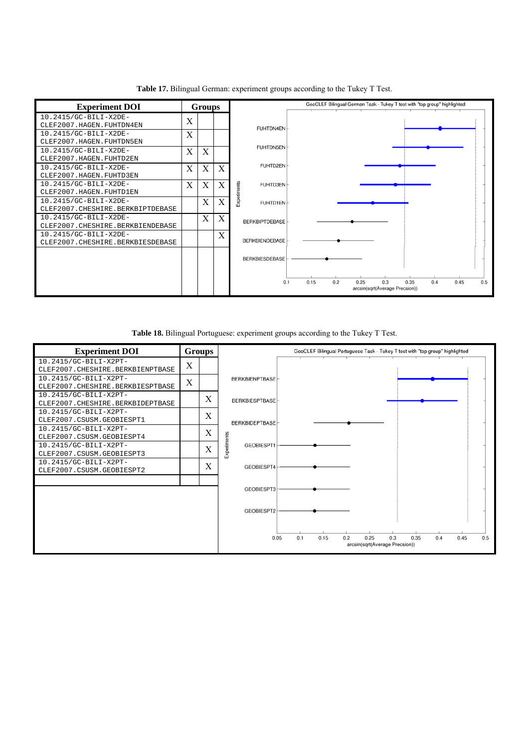**Table 17.** Bilingual German: experiment groups according to the Tukey T Test.



**Table 18.** Bilingual Portuguese: experiment groups according to the Tukey T Test.